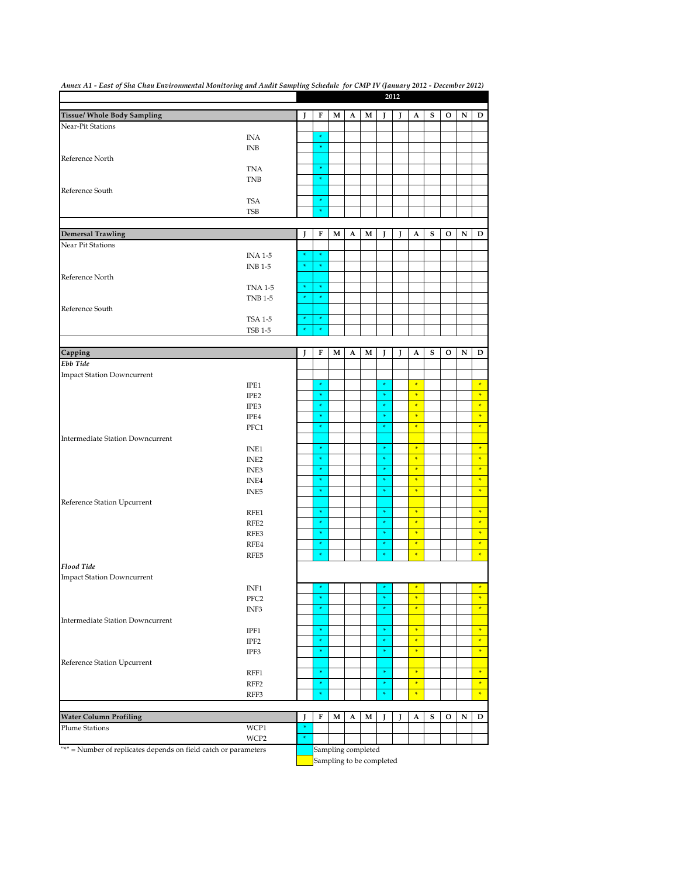| Times III - Last of 5na Chau Environmental monitoring and Tiauti sampling scheaute for CMI-IV (fanaary 2012 - December 2012) |                  |        |             |                    |   |   |             | 2012 |                                   |   |   |   |                                    |
|------------------------------------------------------------------------------------------------------------------------------|------------------|--------|-------------|--------------------|---|---|-------------|------|-----------------------------------|---|---|---|------------------------------------|
| Tissue/ Whole Body Sampling                                                                                                  |                  | J      | F           | M                  | A | M | I           | L    | A                                 | s | o | N | D                                  |
| Near-Pit Stations                                                                                                            |                  |        |             |                    |   |   |             |      |                                   |   |   |   |                                    |
|                                                                                                                              | <b>INA</b>       |        | *           |                    |   |   |             |      |                                   |   |   |   |                                    |
|                                                                                                                              | INB              |        | 来           |                    |   |   |             |      |                                   |   |   |   |                                    |
| Reference North                                                                                                              |                  |        |             |                    |   |   |             |      |                                   |   |   |   |                                    |
|                                                                                                                              | <b>TNA</b>       |        | $\ast$      |                    |   |   |             |      |                                   |   |   |   |                                    |
| Reference South                                                                                                              | TNB              |        | ×           |                    |   |   |             |      |                                   |   |   |   |                                    |
|                                                                                                                              | <b>TSA</b>       |        | $\ast$      |                    |   |   |             |      |                                   |   |   |   |                                    |
|                                                                                                                              | <b>TSB</b>       |        | ×           |                    |   |   |             |      |                                   |   |   |   |                                    |
|                                                                                                                              |                  |        |             |                    |   |   |             |      |                                   |   |   |   |                                    |
| <b>Demersal Trawling</b>                                                                                                     |                  | J      | F           | М                  | A | M | I           | I    | A                                 | S | O | N | D                                  |
| Near Pit Stations                                                                                                            |                  |        |             |                    |   |   |             |      |                                   |   |   |   |                                    |
|                                                                                                                              | <b>INA 1-5</b>   | ×      | $\ast$      |                    |   |   |             |      |                                   |   |   |   |                                    |
|                                                                                                                              | <b>INB 1-5</b>   | *      | ×           |                    |   |   |             |      |                                   |   |   |   |                                    |
| Reference North                                                                                                              |                  |        |             |                    |   |   |             |      |                                   |   |   |   |                                    |
|                                                                                                                              | <b>TNA 1-5</b>   | ×<br>¥ | 米<br>$\ast$ |                    |   |   |             |      |                                   |   |   |   |                                    |
| Reference South                                                                                                              | <b>TNB 1-5</b>   |        |             |                    |   |   |             |      |                                   |   |   |   |                                    |
|                                                                                                                              | TSA 1-5          | ×      | 外           |                    |   |   |             |      |                                   |   |   |   |                                    |
|                                                                                                                              | <b>TSB 1-5</b>   | ×      | $\ast$      |                    |   |   |             |      |                                   |   |   |   |                                    |
|                                                                                                                              |                  |        |             |                    |   |   |             |      |                                   |   |   |   |                                    |
| Capping                                                                                                                      |                  | I      | F           | M                  | A | M | J           | I    | A                                 | s | o | N | D                                  |
| Ebb Tide                                                                                                                     |                  |        |             |                    |   |   |             |      |                                   |   |   |   |                                    |
| <b>Impact Station Downcurrent</b>                                                                                            |                  |        |             |                    |   |   |             |      |                                   |   |   |   |                                    |
|                                                                                                                              | IPE1             |        | $\ast$      |                    |   |   | $\ast$      |      | $\ast$                            |   |   |   | $\star$                            |
|                                                                                                                              | IPE <sub>2</sub> |        | ÷           |                    |   |   | ×           |      | $\mathbf{s}_\mathrm{F}$           |   |   |   | $\ast$                             |
|                                                                                                                              | IPE3             |        | *           |                    |   |   | ×           |      | $\ast$<br>$\mathbf{x}_t$          |   |   |   | $\ast$<br>$\mathbf{x}_t$           |
|                                                                                                                              | IPE4             |        | $\ast$<br>× |                    |   |   | $\ast$<br>外 |      | $\ast$                            |   |   |   | $\mathbf{s}_\mathrm{F}$            |
| <b>Intermediate Station Downcurrent</b>                                                                                      | PFC1             |        |             |                    |   |   |             |      |                                   |   |   |   |                                    |
|                                                                                                                              | INE <sub>1</sub> |        | ×           |                    |   |   | ×           |      | $\star$                           |   |   |   | $\ast$                             |
|                                                                                                                              | INE <sub>2</sub> |        | *           |                    |   |   | ×           |      | $\ast$                            |   |   |   | $\ast$                             |
|                                                                                                                              | INE3             |        | $\ast$      |                    |   |   | $\ast$      |      | $\mathbf{x}_t$                    |   |   |   | $\mathbf{x}_t$                     |
|                                                                                                                              | INE4             |        | ×           |                    |   |   | 外           |      | $\ast$                            |   |   |   | $\mathbf{s}_\mathrm{F}$            |
|                                                                                                                              | INE <sub>5</sub> |        | ×           |                    |   |   | ×           |      | $\mathbf{a}_t$                    |   |   |   | $\mathbf{r}$                       |
| Reference Station Upcurrent                                                                                                  |                  |        |             |                    |   |   |             |      |                                   |   |   |   |                                    |
|                                                                                                                              | RFE1             |        | ÷           |                    |   |   | ×           |      | $\ast$                            |   |   |   | $\ast$                             |
|                                                                                                                              | RFE <sub>2</sub> |        | $\ast$      |                    |   |   | $\ast$      |      | $\mathbf{z}_\mathrm{F}$<br>$\ast$ |   |   |   | $\mathbf{x}_t$<br>$\ast$           |
|                                                                                                                              | RFE3             |        | ×<br>×      |                    |   |   | 外<br>$\ast$ |      | $\ast$                            |   |   |   | $\mathbf{r}$                       |
|                                                                                                                              | RFE4<br>RFE5     |        | ÷           |                    |   |   | ×           |      | $\ast$                            |   |   |   | $\ast$                             |
| <b>Flood Tide</b>                                                                                                            |                  |        |             |                    |   |   |             |      |                                   |   |   |   |                                    |
| <b>Impact Station Downcurrent</b>                                                                                            |                  |        |             |                    |   |   |             |      |                                   |   |   |   |                                    |
|                                                                                                                              | INF <sub>1</sub> |        | ×,          |                    |   |   | ×,          |      | ×,                                |   |   |   | ×                                  |
|                                                                                                                              | PFC <sub>2</sub> |        | ×           |                    |   |   |             |      | $\ast$                            |   |   |   | $\ast$                             |
|                                                                                                                              | INF3             |        | $\ast$      |                    |   |   | $\ast$      |      | $\mathbf{r}$                      |   |   |   | $\mathbf{x}$                       |
| <b>Intermediate Station Downcurrent</b>                                                                                      |                  |        |             |                    |   |   |             |      |                                   |   |   |   |                                    |
|                                                                                                                              | IPF1             |        | $\ast$      |                    |   |   | $\ast$      |      | $\mathbf{s}_\mathrm{F}$           |   |   |   | $\mathbf{v}_\mathrm{f}$            |
|                                                                                                                              | IPF <sub>2</sub> |        | ÷           |                    |   |   | ×           |      | $\ast$<br>$\star$                 |   |   |   | $\mathbf{s}_\mathrm{F}$<br>$\star$ |
|                                                                                                                              | IPF3             |        |             |                    |   |   |             |      |                                   |   |   |   |                                    |
| Reference Station Upcurrent                                                                                                  | RFF1             |        | 来           |                    |   |   | *           |      | $\ast$                            |   |   |   | $\star$                            |
|                                                                                                                              | RFF <sub>2</sub> |        | $\ast$      |                    |   |   | ¥           |      | $\mathbf{s}_\mathrm{F}$           |   |   |   | $\mathbf{v}_\mathrm{f}$            |
|                                                                                                                              | RFF3             |        | ÷           |                    |   |   | ×           |      | $\ast$                            |   |   |   | $\ast$                             |
|                                                                                                                              |                  |        |             |                    |   |   |             |      |                                   |   |   |   |                                    |
| <b>Water Column Profiling</b>                                                                                                |                  | J      | F           | M                  | A | M | J           | J    | A                                 | s | o | N | D                                  |
| Plume Stations                                                                                                               | WCP1             | ×      |             |                    |   |   |             |      |                                   |   |   |   |                                    |
|                                                                                                                              | WCP2             | ¥      |             |                    |   |   |             |      |                                   |   |   |   |                                    |
| "*" = Number of replicates depends on field catch or parameters                                                              |                  |        |             | Sampling completed |   |   |             |      |                                   |   |   |   |                                    |

*Annex A1 - East of Sha Chau Environmental Monitoring and Audit Sampling Schedule for CMP IV (January 2012 - December 2012)*

Sampling completed<br>Sampling to be completed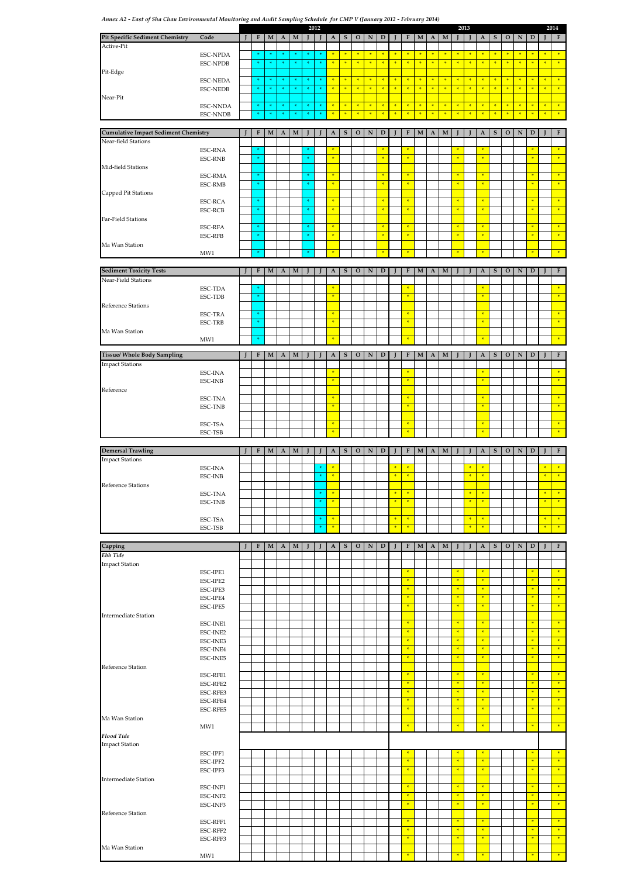*Annex A2 - East of Sha Chau Environmental Monitoring and Audit Sampling Schedule for CMP V (January 2012 - February 2014)*

| Annex A2 - East of Sha Chau Environmental Monitoring and Audit Sampling Schedule for CMP V (January 2012 - February 2014) |                 |              |             |              |              |              |             | 2012 |              |                                    |              |                                    |                                    |                                    |                                    |                                    |                                    |                                    |                                    | 2013        |                                    |                                    |              |             |               |                                    | 2014                               |
|---------------------------------------------------------------------------------------------------------------------------|-----------------|--------------|-------------|--------------|--------------|--------------|-------------|------|--------------|------------------------------------|--------------|------------------------------------|------------------------------------|------------------------------------|------------------------------------|------------------------------------|------------------------------------|------------------------------------|------------------------------------|-------------|------------------------------------|------------------------------------|--------------|-------------|---------------|------------------------------------|------------------------------------|
| <b>Pit Specific Sediment Chemistry</b>                                                                                    | Code            | $\mathbf{I}$ | $\mathbf F$ | $\mathbf{M}$ | $\mathbf{A}$ | $\mathbf{M}$ | $\mathbf I$ | n    | $\mathbf{A}$ | S                                  | $\mathbf{O}$ | ${\bf N}$                          | D                                  | $\blacksquare$                     | $\mathbf F$                        | $\mathbf{M}$                       | $\mathbf{A}$                       | $\mathbf M$                        | $\mathbf I$                        | $\mathbf I$ | $\mathbf{A}$                       | ${\bf S}$                          | $\mathbf{O}$ | ${\bf N}$   | D             | П                                  | $\,$ $\,$ $\,$ $\,$                |
| Active-Pit                                                                                                                |                 |              |             |              |              |              |             |      |              |                                    |              |                                    |                                    |                                    |                                    |                                    |                                    |                                    |                                    |             |                                    |                                    |              |             |               |                                    |                                    |
|                                                                                                                           | <b>ESC-NPDA</b> |              |             |              |              |              |             |      | $\ast$       | $\ast$                             | $\ast$       | $\rightarrow$                      | $\ast$                             | $\ast$                             | $\ast$                             | $\ast$                             | $\ast$                             | $\ast$                             | $\ast$                             | $\ast$      | $\ast$                             | $\ast$                             | $\ast$       | $\ast$      | $\ast$        | $\ast$                             | $\blacktriangleright$              |
|                                                                                                                           | <b>ESC-NPDB</b> |              |             |              |              |              |             |      | $\ast$       | $\frac{1}{2}$                      | $\ast$       | $\ast$                             | $\ast$                             | $\ast$                             | $\ast$                             | $\ast$                             | $\ast$                             | $\left\vert \mathbf{z}\right\vert$ | $\ast$                             | $\ast$      | $\ast$                             | $\ast$                             | $\ast$       | $\ast$      | $\ast$        | $\left\vert \mathbf{s}\right\vert$ | $\rightarrow$                      |
| Pit-Edge                                                                                                                  |                 |              |             |              |              |              |             |      |              |                                    |              |                                    |                                    |                                    |                                    |                                    |                                    |                                    |                                    |             |                                    |                                    |              |             |               |                                    |                                    |
|                                                                                                                           | <b>ESC-NEDA</b> |              |             |              |              |              |             |      | $\ast$       | $\ast$                             | $\ast$       | $\mathbf{R}$                       | $\left\vert \mathbf{z}\right\vert$ | $\left\vert \mathbf{z}\right\vert$ | $\ast$                             | $\ast$                             | $\ast$                             | $\ast$                             | $\ast$                             | $\ast$      | $\ast$                             | $\ast$                             | $\ast$       | $\ast$      | $\ast$        | $\ast$                             | $\rightarrow$                      |
|                                                                                                                           | <b>ESC-NEDB</b> |              | *           |              | *            | *            | *           | *    | $\ast$       | $\left\vert \mathbf{v}\right\vert$ | $\ast$       | $\left\vert \mathbf{v}\right\vert$ | $\left\vert \mathbf{z}\right\vert$ | $\left\vert \mathbf{v}\right\vert$ | $\left\vert \mathbf{s}\right\vert$ | $\left\vert \mathbf{s}\right\vert$ | $\left\vert \mathbf{s}\right\vert$ | $\left\vert \mathbf{v}\right\vert$ | $\left\vert \mathbf{v}\right\vert$ | $\ast$      | $\left\vert \mathbf{s}\right\vert$ | $\left\vert \mathbf{s}\right\vert$ | $\ast$       | $\ast$      | $\ast$        | $\langle \mathbf{x} \rangle$       | $\rightarrow$                      |
| Near-Pit                                                                                                                  |                 |              |             |              |              |              |             |      |              |                                    |              |                                    |                                    |                                    |                                    |                                    |                                    |                                    |                                    |             |                                    |                                    |              |             |               |                                    |                                    |
|                                                                                                                           | <b>ESC-NNDA</b> |              | *           |              |              |              |             |      | $\ast$       | $\ast$                             | $\ast$       | $\ast$                             | $\ast$                             | $\left\vert \mathbf{z}\right\vert$ | $\ast$                             | $\ast$                             | $\ast$                             | $\ast$                             | $\ast$                             | $\ast$      | $\ast$                             | $\ast$                             | $\ast$       | $\ast$      | $\ast$        | $\left\vert \mathbf{v}\right\vert$ | $\rightarrow$                      |
|                                                                                                                           | <b>ESC-NNDB</b> |              |             |              |              |              |             |      | $\ast$       | $\ast$                             | $\ast$       | $\ast$                             | $\ast$                             | $\left\vert \mathbf{z}\right\vert$ | $\left\vert \mathbf{x}\right\vert$ | $\ast$                             | $\ast$                             | $\ast$                             | $\ast$                             | $\ast$      | $\ast$                             | $\frac{1}{N}$                      | $\ast$       | $\ast$      | $\ast$        | $\left\vert \mathbf{v}\right\vert$ | $\rightarrow$                      |
|                                                                                                                           |                 |              |             |              |              |              |             |      |              |                                    |              |                                    |                                    |                                    |                                    |                                    |                                    |                                    |                                    |             |                                    |                                    |              |             |               |                                    |                                    |
| <b>Cumulative Impact Sediment Chemistry</b>                                                                               |                 |              | F           | M            | $\mathbf{A}$ | M            |             |      | $\mathbf{A}$ | S                                  | $\mathbf O$  | ${\bf N}$                          | D                                  |                                    | $\mathbf{F}$                       | M                                  | $\mathbf{A}$                       | M                                  |                                    |             | $\mathbf{A}$                       | S                                  | $\mathbf{O}$ | ${\bf N}$   | D             | П                                  | $\mathbf F$                        |
| Near-field Stations                                                                                                       |                 |              |             |              |              |              |             |      |              |                                    |              |                                    |                                    |                                    |                                    |                                    |                                    |                                    |                                    |             |                                    |                                    |              |             |               |                                    |                                    |
|                                                                                                                           | <b>ESC-RNA</b>  |              |             |              |              |              |             |      | $\ast$       |                                    |              |                                    | $\ast$                             |                                    | $\ast$                             |                                    |                                    |                                    | $\ast$                             |             | $\ast$                             |                                    |              |             | $\ast$        |                                    | $\rightarrow$                      |
|                                                                                                                           | <b>ESC-RNB</b>  |              |             |              |              |              |             |      | $\ast$       |                                    |              |                                    | $\star$                            |                                    | $\ast$                             |                                    |                                    |                                    | $\ast$                             |             | $\ast$                             |                                    |              |             | $\frac{1}{N}$ |                                    | $\left\vert \mathbf{v}\right\vert$ |
| Mid-field Stations                                                                                                        |                 |              |             |              |              |              |             |      |              |                                    |              |                                    |                                    |                                    |                                    |                                    |                                    |                                    |                                    |             |                                    |                                    |              |             |               |                                    |                                    |
|                                                                                                                           | <b>ESC-RMA</b>  |              | ×           |              |              |              |             |      | $\ast$       |                                    |              |                                    | $\ast$                             |                                    | $\ast$                             |                                    |                                    |                                    | $\ast$                             |             | $\ast$                             |                                    |              |             | $\ast$        |                                    | $\left\vert \mathbf{v}\right\vert$ |
|                                                                                                                           | <b>ESC-RMB</b>  |              |             |              |              |              |             |      | $\ast$       |                                    |              |                                    | $\ast$                             |                                    | $\ast$                             |                                    |                                    |                                    | $\ast$                             |             | $\ast$                             |                                    |              |             | $\ast$        |                                    | $\left\vert \mathbf{s}\right\vert$ |
| Capped Pit Stations                                                                                                       |                 |              |             |              |              |              |             |      |              |                                    |              |                                    |                                    |                                    |                                    |                                    |                                    |                                    |                                    |             |                                    |                                    |              |             |               |                                    |                                    |
|                                                                                                                           | <b>ESC-RCA</b>  |              |             |              |              |              |             |      | $\ast$       |                                    |              |                                    | $\ast$                             |                                    | $\ast$                             |                                    |                                    |                                    | $\frac{1}{N}$                      |             | $\star$                            |                                    |              |             | $\ast$        |                                    | $\left\vert \mathbf{v}\right\vert$ |
|                                                                                                                           | <b>ESC-RCB</b>  |              | *           |              |              |              |             |      | $\star$      |                                    |              |                                    | $\star$                            |                                    | $\frac{1}{2}$                      |                                    |                                    |                                    | $\ast$                             |             | $\mathbf{a}_\mathrm{f}$            |                                    |              |             | $\frac{1}{N}$ |                                    | $\left\vert \mathbf{v}\right\vert$ |
| Far-Field Stations                                                                                                        |                 |              |             |              |              |              |             |      |              |                                    |              |                                    |                                    |                                    |                                    |                                    |                                    |                                    |                                    |             |                                    |                                    |              |             |               |                                    |                                    |
|                                                                                                                           | <b>ESC-RFA</b>  |              | *           |              |              |              |             |      | $\ast$       |                                    |              |                                    | $\ast$                             |                                    | $\ast$                             |                                    |                                    |                                    | $\ast$                             |             | $\ast$                             |                                    |              |             | $\ast$        |                                    | $\vert\psi\vert$                   |
|                                                                                                                           | <b>ESC-RFB</b>  |              |             |              |              |              |             |      | $\ast$       |                                    |              |                                    | $\ast$                             |                                    | $\ast$                             |                                    |                                    |                                    | $\ast$                             |             | $\ast$                             |                                    |              |             | $\ast$        |                                    | $\left\vert \mathbf{z}\right\vert$ |
| Ma Wan Station                                                                                                            |                 |              |             |              |              |              |             |      |              |                                    |              |                                    |                                    |                                    |                                    |                                    |                                    |                                    |                                    |             |                                    |                                    |              |             |               |                                    |                                    |
|                                                                                                                           | MW1             |              | *           |              |              |              |             |      | $\ast$       |                                    |              |                                    | $\ast$                             |                                    | $\left\vert \mathbf{x}\right\vert$ |                                    |                                    |                                    | $\ast$                             |             | $\ast$                             |                                    |              |             | $\frac{1}{2}$ |                                    | $\langle \mathbf{x} \rangle$       |
|                                                                                                                           |                 |              |             |              |              |              |             |      |              |                                    |              |                                    |                                    |                                    |                                    |                                    |                                    |                                    |                                    |             |                                    |                                    |              |             |               |                                    |                                    |
| <b>Sediment Toxicity Tests</b>                                                                                            |                 | $\mathbf I$  | $\mathbf F$ | $\mathbf{M}$ | $\mathbf{A}$ | $\mathbf{M}$ |             |      | $\mathbf{A}$ | ${\bf S}$                          | $\mathbf O$  | ${\bf N}$                          | $\mathbf D$                        |                                    | $\mathbf F$                        | $\mathbf{M}$                       | $\mathbf{A}$                       | M                                  |                                    |             | $\mathbf{A}$                       | ${\bf S}$                          | $\mathbf{O}$ | ${\bf N}$   | $\mathbf D$   | П                                  | $\overline{\mathbf{F}}$            |
| Near-Field Stations                                                                                                       |                 |              |             |              |              |              |             |      |              |                                    |              |                                    |                                    |                                    |                                    |                                    |                                    |                                    |                                    |             |                                    |                                    |              |             |               |                                    |                                    |
|                                                                                                                           | ESC-TDA         |              | *           |              |              |              |             |      | $\ast$       |                                    |              |                                    |                                    |                                    | $\ast$                             |                                    |                                    |                                    |                                    |             | $\ast$                             |                                    |              |             |               |                                    | $\frac{1}{2}$                      |
|                                                                                                                           | ESC-TDB         |              | *           |              |              |              |             |      | $\ast$       |                                    |              |                                    |                                    |                                    | $\ast$                             |                                    |                                    |                                    |                                    |             | $\ast$                             |                                    |              |             |               |                                    | $\left\vert \mathbf{v}\right\vert$ |
| <b>Reference Stations</b>                                                                                                 |                 |              |             |              |              |              |             |      |              |                                    |              |                                    |                                    |                                    |                                    |                                    |                                    |                                    |                                    |             |                                    |                                    |              |             |               |                                    |                                    |
|                                                                                                                           | <b>ESC-TRA</b>  |              | ×           |              |              |              |             |      | $\ast$       |                                    |              |                                    |                                    |                                    | $\ast$                             |                                    |                                    |                                    |                                    |             | $\ast$                             |                                    |              |             |               |                                    | $\left\vert \mathbf{v}\right\vert$ |
|                                                                                                                           | <b>ESC-TRB</b>  |              |             |              |              |              |             |      | $\ast$       |                                    |              |                                    |                                    |                                    | $\ast$                             |                                    |                                    |                                    |                                    |             | $\ast$                             |                                    |              |             |               |                                    | $\blacktriangleright$              |
| Ma Wan Station                                                                                                            |                 |              |             |              |              |              |             |      |              |                                    |              |                                    |                                    |                                    |                                    |                                    |                                    |                                    |                                    |             |                                    |                                    |              |             |               |                                    |                                    |
|                                                                                                                           | MW1             |              |             |              |              |              |             |      | $\ast$       |                                    |              |                                    |                                    |                                    | $\ast$                             |                                    |                                    |                                    |                                    |             | $\ast$                             |                                    |              |             |               |                                    | $\left\vert \mathbf{x}\right\vert$ |
|                                                                                                                           |                 |              | $\mathbf F$ |              |              |              |             |      |              | S                                  | $\Omega$     |                                    | D                                  |                                    | $\mathbf{F}$                       | $\mathbf{M}$                       |                                    |                                    |                                    |             |                                    |                                    |              |             |               |                                    | $\mathbf F$                        |
| <b>Tissue/ Whole Body Sampling</b>                                                                                        |                 |              |             | M            | $\mathbf{A}$ | M            |             |      | $\mathbf{A}$ |                                    |              | N                                  |                                    |                                    |                                    |                                    | $\mathbf{A}$                       | M                                  |                                    |             | $\mathbf{A}$                       | S                                  | $\mathbf{o}$ | $\mathbf N$ | D             |                                    |                                    |
| <b>Impact Stations</b>                                                                                                    | <b>ESC-INA</b>  |              |             |              |              |              |             |      | $\ast$       |                                    |              |                                    |                                    |                                    | $\ast$                             |                                    |                                    |                                    |                                    |             | $\ast$                             |                                    |              |             |               |                                    | $\blacktriangleright$              |
|                                                                                                                           | <b>ESC-INB</b>  |              |             |              |              |              |             |      | $\ast$       |                                    |              |                                    |                                    |                                    | $\ast$                             |                                    |                                    |                                    |                                    |             | $\ast$                             |                                    |              |             |               |                                    | $\left\vert \cdot \right\vert$     |
|                                                                                                                           |                 |              |             |              |              |              |             |      |              |                                    |              |                                    |                                    |                                    |                                    |                                    |                                    |                                    |                                    |             |                                    |                                    |              |             |               |                                    |                                    |
| Reference                                                                                                                 |                 |              |             |              |              |              |             |      |              |                                    |              |                                    |                                    |                                    |                                    |                                    |                                    |                                    |                                    |             |                                    |                                    |              |             |               |                                    |                                    |

ESC-TNA \* \* \* \* ESC-TNB \* \* \* \*

ESC-TSA \* \* \* \* ESC-TSB \* \* \* \*

| <b>Demersal Trawling</b>  |         | Æ. | M | $\mathbf{A}$ | M |  | $\mathbf{A}$  | S | $\mathbf{O}$ | N | D |              | $\mathbf{F}$  | M | A | M |  | A | S | $\Omega$ | N | D |              | - F          |
|---------------------------|---------|----|---|--------------|---|--|---------------|---|--------------|---|---|--------------|---------------|---|---|---|--|---|---|----------|---|---|--------------|--------------|
| <b>Impact Stations</b>    |         |    |   |              |   |  |               |   |              |   |   |              |               |   |   |   |  |   |   |          |   |   |              |              |
|                           | ESC-INA |    |   |              |   |  | $\mathbf{A}$  |   |              |   |   |              | ×             |   |   |   |  |   |   |          |   |   |              |              |
|                           | ESC-INB |    |   |              |   |  |               |   |              |   |   |              | $\rightarrow$ |   |   |   |  |   |   |          |   |   |              | $\mathbf{r}$ |
| <b>Reference Stations</b> |         |    |   |              |   |  |               |   |              |   |   |              |               |   |   |   |  |   |   |          |   |   |              |              |
|                           | ESC-TNA |    |   |              |   |  |               |   |              |   |   |              | $\mathbf{a}$  |   |   |   |  |   |   |          |   |   |              | $\ast$       |
|                           | ESC-TNB |    |   |              |   |  | $\rightarrow$ |   |              |   |   |              | $\rightarrow$ |   |   |   |  |   |   |          |   |   |              | $*$          |
|                           |         |    |   |              |   |  |               |   |              |   |   |              |               |   |   |   |  |   |   |          |   |   |              |              |
|                           | ESC-TSA |    |   |              |   |  | $\rightarrow$ |   |              |   |   |              | $\rightarrow$ |   |   |   |  |   |   |          |   |   |              | $\mathbf{R}$ |
|                           | ESC-TSB |    |   |              |   |  | $\rightarrow$ |   |              |   |   | $\mathbf{r}$ | $+$           |   |   |   |  |   |   |          |   |   | $\mathbf{A}$ | $*$          |

| Capping                     |          | $\mathbf{I}$ | $F \mid M \mid A \mid M$ |  | J | $\mathbf{J}$ | $\mathbf{A}$ | S | O N | $D \mid J$ |               |  |               | $F$   M   A   M   J   J   A   S   O   N   D   J |         |  |                         | $\mathbf{F}$                            |
|-----------------------------|----------|--------------|--------------------------|--|---|--------------|--------------|---|-----|------------|---------------|--|---------------|-------------------------------------------------|---------|--|-------------------------|-----------------------------------------|
| Ebb Tide                    |          |              |                          |  |   |              |              |   |     |            |               |  |               |                                                 |         |  |                         |                                         |
| <b>Impact Station</b>       |          |              |                          |  |   |              |              |   |     |            |               |  |               |                                                 |         |  |                         |                                         |
|                             | ESC-IPE1 |              |                          |  |   |              |              |   |     |            | $\ast$        |  | $\ast$        |                                                 | $\ast$  |  | $\frac{1}{N}$           | $\star$                                 |
|                             | ESC-IPE2 |              |                          |  |   |              |              |   |     |            | $\ast$        |  | $\ast$        |                                                 | $\ast$  |  | $\ast$                  | $\star$                                 |
|                             | ESC-IPE3 |              |                          |  |   |              |              |   |     |            | $\ast$        |  | $\ast$        |                                                 | $\ast$  |  | $\frac{1}{N}$           | $\star$                                 |
|                             | ESC-IPE4 |              |                          |  |   |              |              |   |     |            | $\ast$        |  | $\ast$        |                                                 | $\ast$  |  | $\frac{1}{N}$           | $\star$                                 |
|                             | ESC-IPE5 |              |                          |  |   |              |              |   |     |            | $\frac{1}{N}$ |  | $\ast$        |                                                 | $\ast$  |  | $\mathbf{s}_\mathrm{F}$ | $\left\vert \mathbf{w}\right\vert$      |
| <b>Intermediate Station</b> |          |              |                          |  |   |              |              |   |     |            |               |  |               |                                                 |         |  |                         |                                         |
|                             | ESC-INE1 |              |                          |  |   |              |              |   |     |            | $\frac{1}{2}$ |  | $\frac{1}{2}$ |                                                 | $\ast$  |  | $\ast$                  | $\left\vert \mathbf{s}\right\vert$      |
|                             | ESC-INE2 |              |                          |  |   |              |              |   |     |            | $\ast$        |  | $\frac{1}{N}$ |                                                 | $\ast$  |  | $\mathbf{s}_\mathrm{F}$ | $\left\vert \mathbf{a}\right\vert$      |
|                             | ESC-INE3 |              |                          |  |   |              |              |   |     |            | $\ast$        |  | $\frac{1}{N}$ |                                                 | $\star$ |  | $\star$                 | $\langle \mathbf{s}_\mathrm{f} \rangle$ |
|                             | ESC-INE4 |              |                          |  |   |              |              |   |     |            | $\frac{1}{N}$ |  | $\mathbf{s}$  |                                                 | $\star$ |  | $\star$                 | $\star$                                 |
|                             | ESC-INE5 |              |                          |  |   |              |              |   |     |            | $\frac{1}{2}$ |  | $\ast$        |                                                 | $\ast$  |  | $\frac{1}{N}$           | $\left\vert \Psi \right\vert$ .         |
| Reference Station           |          |              |                          |  |   |              |              |   |     |            |               |  |               |                                                 |         |  |                         |                                         |
|                             | ESC-RFE1 |              |                          |  |   |              |              |   |     |            | $\frac{1}{2}$ |  | $\ast$        |                                                 | $\ast$  |  | $\ast$                  | $\langle \Psi \rangle$                  |
|                             | ESC-RFE2 |              |                          |  |   |              |              |   |     |            | $\ast$        |  | $\ast$        |                                                 | $\ast$  |  | $\ast$                  | $\left\vert \mathbf{z}\right\vert$      |
|                             | ESC-RFE3 |              |                          |  |   |              |              |   |     |            | $\ast$        |  | $\ast$        |                                                 | $\ast$  |  | $\star$                 | $\mathbf{a}_\mathrm{F}$                 |
|                             | ESC-RFE4 |              |                          |  |   |              |              |   |     |            | $\ast$        |  | $\ast$        |                                                 | $\ast$  |  | $\frac{1}{2}$           | $\ast$                                  |
|                             | ESC-RFE5 |              |                          |  |   |              |              |   |     |            | $\star$       |  | $\star$       |                                                 | $\star$ |  | $\ast$                  | $\langle \mathbf{x} \rangle$            |
| Ma Wan Station              |          |              |                          |  |   |              |              |   |     |            |               |  |               |                                                 |         |  |                         |                                         |
|                             | MW1      |              |                          |  |   |              |              |   |     |            | $\ast$        |  | $\frac{1}{2}$ |                                                 | $\ast$  |  | $\ast$                  | $\langle \Psi \rangle$                  |
| <b>Flood Tide</b>           |          |              |                          |  |   |              |              |   |     |            |               |  |               |                                                 |         |  |                         |                                         |
| <b>Impact Station</b>       |          |              |                          |  |   |              |              |   |     |            |               |  |               |                                                 |         |  |                         |                                         |
|                             | ESC-IPF1 |              |                          |  |   |              |              |   |     |            | $\ast$        |  | $\ast$        |                                                 | $\ast$  |  | $\ast$                  | $\mathcal{H}_{\mathbb{C}}$              |
|                             | ESC-IPF2 |              |                          |  |   |              |              |   |     |            | $\frac{1}{2}$ |  | $\frac{1}{2}$ |                                                 | $\star$ |  | $\ast$                  | $\langle \Psi \rangle$                  |
|                             | ESC-IPF3 |              |                          |  |   |              |              |   |     |            | $\ast$        |  | $\frac{1}{2}$ |                                                 | $\star$ |  | $\ast$                  | $\star$                                 |
| <b>Intermediate Station</b> |          |              |                          |  |   |              |              |   |     |            |               |  |               |                                                 |         |  |                         |                                         |
|                             | ESC-INF1 |              |                          |  |   |              |              |   |     |            | $\star$       |  | $\star$       |                                                 | $\ast$  |  | $\ast$                  | $\star$                                 |
|                             | ESC-INF2 |              |                          |  |   |              |              |   |     |            | $\star$       |  | $\ast$        |                                                 | $\ast$  |  | $\star$                 | $\langle \Psi \rangle$                  |
|                             | ESC-INF3 |              |                          |  |   |              |              |   |     |            | $\ast$        |  | $\frac{1}{2}$ |                                                 | $\ast$  |  | $\star$                 | $\mathcal{H}^{\pm}$                     |
| Reference Station           |          |              |                          |  |   |              |              |   |     |            |               |  |               |                                                 |         |  |                         |                                         |
|                             | ESC-RFF1 |              |                          |  |   |              |              |   |     |            | $\ast$        |  | $\ast$        |                                                 | $\ast$  |  | $\ast$                  | $\left\vert \mathbf{s}\right\vert$      |
|                             | ESC-RFF2 |              |                          |  |   |              |              |   |     |            | $\ast$        |  | $\ast$        |                                                 | $\ast$  |  | $\ast$                  | $\mathbf{S}_{\mathrm{F}}$               |
|                             | ESC-RFF3 |              |                          |  |   |              |              |   |     |            | $\ast$        |  | $\ast$        |                                                 | $\star$ |  | $\ast$                  | $\star$                                 |
| Ma Wan Station              |          |              |                          |  |   |              |              |   |     |            |               |  |               |                                                 |         |  |                         |                                         |
|                             |          |              |                          |  |   |              |              |   |     |            | $\ast$        |  | $\ast$        |                                                 | $\ast$  |  | $\star$                 | $\mathcal{A}^{\pm}$                     |
|                             | MW1      |              |                          |  |   |              |              |   |     |            |               |  |               |                                                 |         |  |                         |                                         |